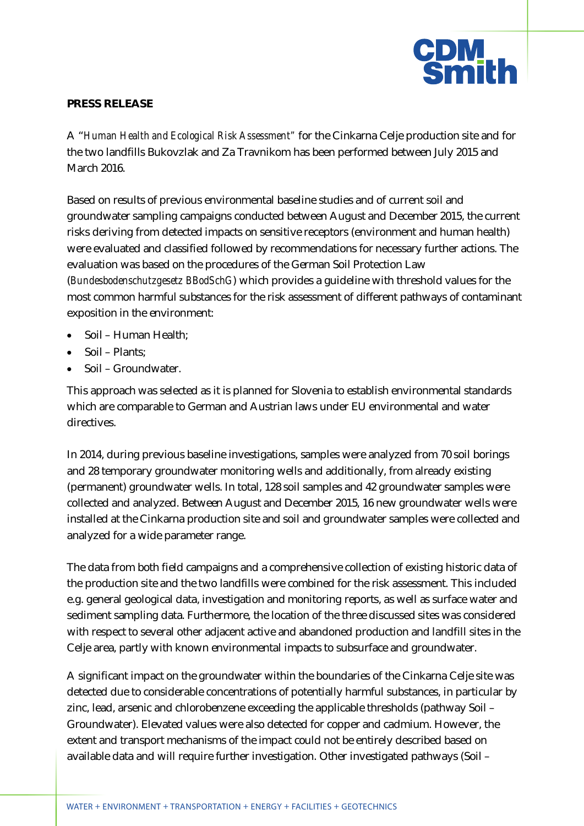

## **PRESS RELEASE**

A "*Human Health and Ecological Risk Assessment"* for the Cinkarna Celje production site and for the two landfills Bukovzlak and Za Travnikom has been performed between July 2015 and March 2016.

Based on results of previous environmental baseline studies and of current soil and groundwater sampling campaigns conducted between August and December 2015, the current risks deriving from detected impacts on sensitive receptors (environment and human health) were evaluated and classified followed by recommendations for necessary further actions. The evaluation was based on the procedures of the German Soil Protection Law (*Bundesbodenschutzgesetz BBodSchG*) which provides a guideline with threshold values for the most common harmful substances for the risk assessment of different pathways of contaminant exposition in the environment:

- $\bullet$  Soil Human Health;
- $\bullet$  Soil Plants;
- $\bullet$  Soil Groundwater.

This approach was selected as it is planned for Slovenia to establish environmental standards which are comparable to German and Austrian laws under EU environmental and water directives.

In 2014, during previous baseline investigations, samples were analyzed from 70 soil borings and 28 temporary groundwater monitoring wells and additionally, from already existing (permanent) groundwater wells. In total, 128 soil samples and 42 groundwater samples were collected and analyzed. Between August and December 2015, 16 new groundwater wells were installed at the Cinkarna production site and soil and groundwater samples were collected and analyzed for a wide parameter range.

The data from both field campaigns and a comprehensive collection of existing historic data of the production site and the two landfills were combined for the risk assessment. This included e.g. general geological data, investigation and monitoring reports, as well as surface water and sediment sampling data. Furthermore, the location of the three discussed sites was considered with respect to several other adjacent active and abandoned production and landfill sites in the Celje area, partly with known environmental impacts to subsurface and groundwater.

A significant impact on the groundwater within the boundaries of the Cinkarna Celje site was detected due to considerable concentrations of potentially harmful substances, in particular by zinc, lead, arsenic and chlorobenzene exceeding the applicable thresholds (pathway Soil – Groundwater). Elevated values were also detected for copper and cadmium. However, the extent and transport mechanisms of the impact could not be entirely described based on available data and will require further investigation. Other investigated pathways (Soil –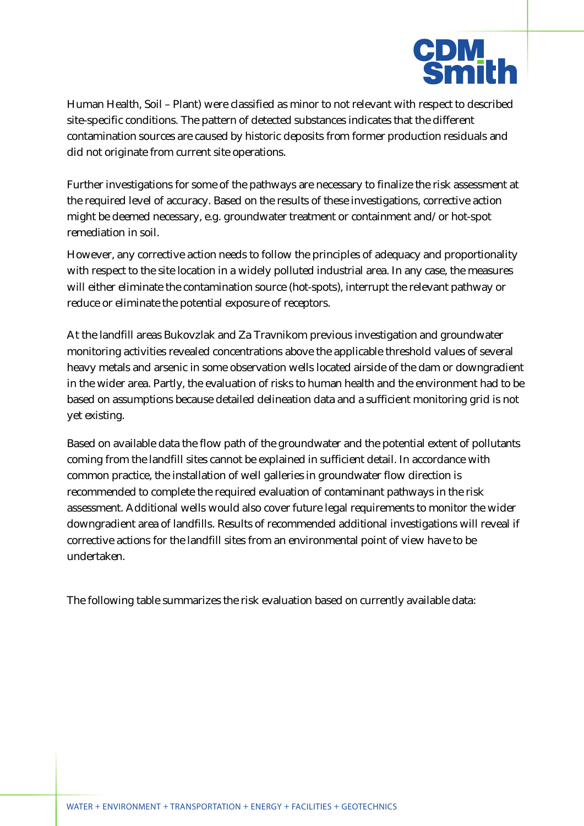

Human Health, Soil – Plant) were classified as minor to not relevant with respect to described site-specific conditions. The pattern of detected substances indicates that the different contamination sources are caused by historic deposits from former production residuals and did not originate from current site operations.

Further investigations for some of the pathways are necessary to finalize the risk assessment at the required level of accuracy. Based on the results of these investigations, corrective action might be deemed necessary, e.g. groundwater treatment or containment and/or hot-spot remediation in soil.

However, any corrective action needs to follow the principles of adequacy and proportionality with respect to the site location in a widely polluted industrial area. In any case, the measures will either eliminate the contamination source (hot-spots), interrupt the relevant pathway or reduce or eliminate the potential exposure of receptors.

At the landfill areas Bukovzlak and Za Travnikom previous investigation and groundwater monitoring activities revealed concentrations above the applicable threshold values of several heavy metals and arsenic in some observation wells located airside of the dam or downgradient in the wider area. Partly, the evaluation of risks to human health and the environment had to be based on assumptions because detailed delineation data and a sufficient monitoring grid is not yet existing.

Based on available data the flow path of the groundwater and the potential extent of pollutants coming from the landfill sites cannot be explained in sufficient detail. In accordance with common practice, the installation of well galleries in groundwater flow direction is recommended to complete the required evaluation of contaminant pathways in the risk assessment. Additional wells would also cover future legal requirements to monitor the wider downgradient area of landfills. Results of recommended additional investigations will reveal if corrective actions for the landfill sites from an environmental point of view have to be undertaken.

The following table summarizes the risk evaluation based on currently available data: